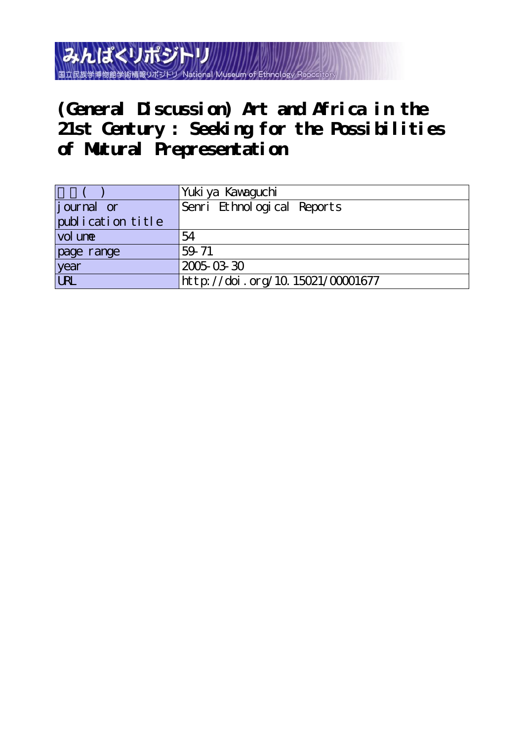みんぱくリポジトリ 国立民族学博物館学術情報リポジトリ

**(General Discussion) Art and Africa in the 21st Century : Seeking for the Possibilities of Mutural Prepresentation**

|                   | Yuki ya Kawaguchi                |
|-------------------|----------------------------------|
| journal or        | Senri Ethnological Reports       |
| publication title |                                  |
| vol une           | 54                               |
| page range        | 59.71                            |
| year              | 2005-03-30                       |
| URL               | http://doi.org/10.15021/00001677 |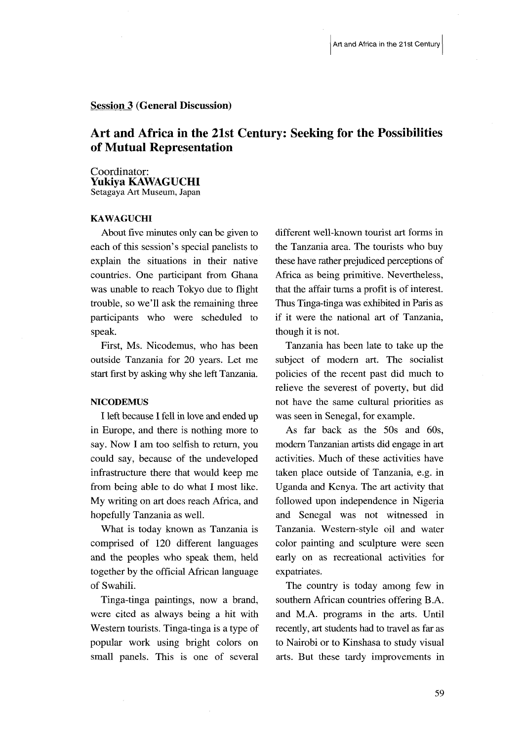# Session 3 (General Discussion)

# Art and Africa in the 21st Century: Seeking for the Possibilities of Mutual Representation

### Coordinator: Yukiya KAWAGUCHI Setagaya Art Museum, Japan

# KAWAGUCHI

 About five minutes only can be given to each of this session's special panelists to explain the situations in their native countries. One participant from Ghana was unable to reach Tokyo due to flight trouble, so we'11 ask the remaining three participants who were scheduled to speak.

 First, Ms. Nicodemus, who has been outside Tanzania for 20 years. Let me start first by asking why she left Tanzania.

# **NICODEMUS**

 I left because I fell in love and ended up in Europe, and there is nothing more to say. Now I am too selfish to return, you could say, because of the undeveloped infrastructure there that would keep me from being able to do what I most like. My writing on art does reach Africa, and hopefully Tanzania as well.

 What is today known as Tanzania is comprised of 120 different languages and the peoples who speak them, held together by the official African language of Swahili.

 Tinga-tinga paintings, now a brand, were cited as always being a hit with Western tourists. Tinga-tinga is a type of popular work using bright colors on small panels. This is one of several

different well-known tourist art forms in the Tanzania area. The tourists who buy these have rather prejudiced perceptions of Africa as being primitive, Nevertheless, that the affair turns a profit is of interest. Thus Tinga-tinga was exhibited in Paris as if it were the national art of Tanzania, though it is not.

Tanzania has been late to take up the subject of modern art. The socialist policies of the recent past did much to relieve the severest of poverty, but did not have the same cultural priorities as was seen in Senegal, for example.

 As fat back as the 50s and 60s, modem Tanzanian artists did engage in art activities. Much of these activities have taken place outside of Tanzania, e.g. in Uganda and Kenya. The art activity that followed upon independence in Nigeria and Senegal was not witnessed in Tanzania. Westem-style oil and water color painting and sculpture were seen early on as recreational activities for expatriates.

 The country is today among few in southern African countries offering B.A. and M.A. programs in the arts. Until recently, art students had to travel as far as to Nairobi or to Kinshasa to study visual arts. But these tardy improvements in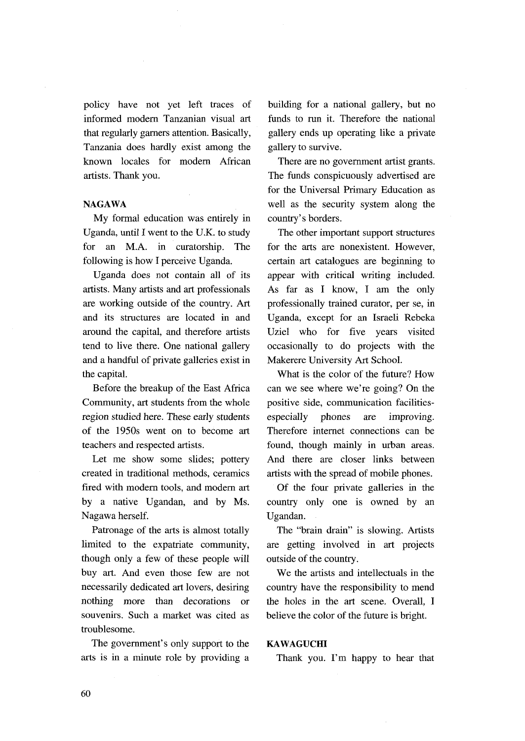policy have not yet left traces of informed modern Tanzanian visual art that regularly garners attention. Basically, Tanzania does hardly exist among the known locales for modern African artists. Thank you.

# NAGAWA

 My formal education was entirely in Uganda, until I went to the U.K. to study for an M.A. in curatorship. The following is how I perceive Uganda.

 Uganda does not contain all of its artists. Many artists and art professionals are working outside of the country. Art and its stmctures are located in and around the capital, and therefore artists tend to live there. One national gallery and a handfu1 of private galleries exist in the capital.

 Before the breakup of the East Africa Community, art students from the whole regjon studied here. These early students of the 1950s went on to become art teachers and respected artists.

 Let me show some slides; pottery created in traditional methods, ceramics fired with modern tools, and modem art by a native Ugandan, and by Ms. Nagawa herself.

 Patronage of the arts is almost totally limited to the expatriate community, though only a few of these people will buy art. And even those few are not necessarily dedicated art lovers, desiring nothing more than decorations or souvenirs. Such a market was cited as troublesome.

 The government's only support to the arts is in a minute role by providing a building for a national gallery, but no funds to run it. Therefore the national gallery ends up operating like a private gallery to survive.

There are no government artist grants. The funds conspicuously advertised are for the Universal Primary Education as well as the security system along the country's borders.

 The other important support structures for the arts are nonexistent. However, certain art catalogues are beginning to appear with critical writing included. As fat as I know, I am the only professionally trained curator, per se, in Uganda, except for an Israeli Rebeka Uziel who for five years visited occasionally to do projects with the Makerere University Art School.

What is the color of the future? How can we see where we're going? On the positive side, communication facilitiesespecially phones are improving. Therefore internet connections can be found, though mainly in urban areas. And there are closer links between artists with the spread of mobile phones.

Of the four private galleries in the country only one is owned by an Ugandan.

 The "brain drain" is slowing. Artists are getting involved in art projects outside of the country.

 We the artists and intellectuals in the country have the responsibility to mend the holes jn the art scene. Overal1, I believe the color of the future is bright.

### KAWAGUCHI

Thank you. I'm happy to hear that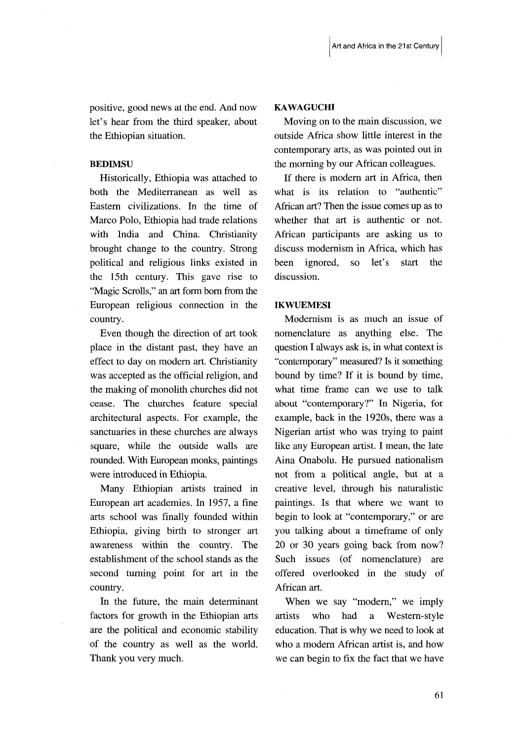positive, good news at the end. And now let's hear from the third speaker, about the Ethiopian situation.

# **BEDIMSU**

 Historically, Ethiopia was attached to both the Mediterranean as well as Eastem civilizations. In the time of Marco Polo, Ethiopia had trade relations with India and China. Christianity brought change to the country. Strong political and religious links existed in the l5th century. This gave rise to "Magic Scrolls," an art forrn born from the European religious connection in the country.

 Even though the direction of art took place in the distant past, they have an effect to day on modern art. Christianity was accepted as the official religion, and the making of monolith churches did not cease. The churches feature special architectural aspects. For example, the sanctuaries in these churches are always square, while the outside walls are rounded. With European monks, paintings were introduced in Ethiopia.

 Many Ethiopian artists trained in European art academies. In 1957, a fine arts school was finally founded within Ethiopia, giving birth to stronger art awareness within the country. The establishment of the school stands as the second turning point for art in the country.

 In the future, the main deteminant factors for growth in the Ethiopian arts are the political and economic stability of the country as well as the world. Thank you very much.

### KAWAGUCHI

 Moving on to the main discussion, we outside Africa show little interest in the contemporary arts, as was pointed out in the morning by our African colleagues.

 If there is modern art in Africa, then what is its relation to "authentic" African art? Then the issue comes up as to whether that art is authentic or not. African participants are asking us to discuss modernism in Africa, which has been ignored, so let's start the discussion.

# **IKWUEMESI**

 Modernism is as much an issue of nomenclature as anything else. The question I always ask is, in what context is "contemporary" measured? Is it something bound by time? If it is bound by time, what time frame can we use to talk about "contemporary?" In Nigeria, for example, back in the 1920s, there was a Nigerian artist who was trying to paint like any European artist. I mean, the late Aina Onabolu. He pursued nationalism not from a political angle, but at a creative level, through his naturalistic paintings. Is that where we want to begin to look at "contemporary," or are you talking about a timeframe of only 20 or 30 years going back from now? Such issues (of nomenclature) are offered overlooked in the study of African art.

 When we say "modern," we imply artists who had a Western-style education. That is why we need to look at who a modern African artist is, and how we can begin to fix the fact that we have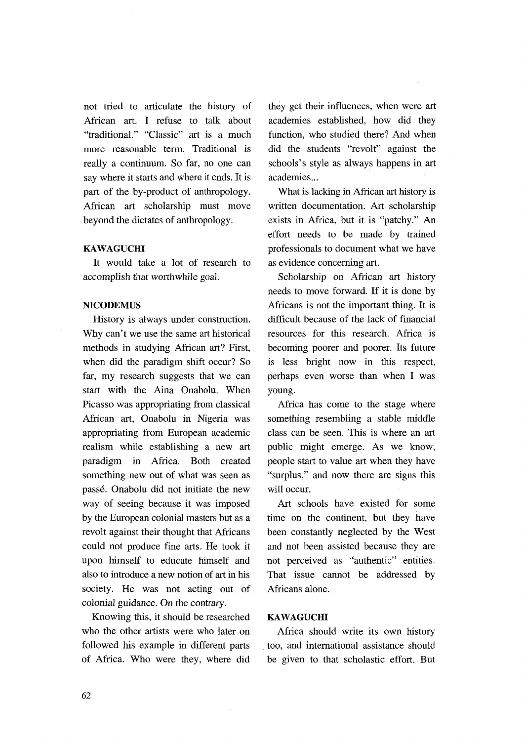not tried to articulate the history of African art. I refuse to talk about "traditional." "Classic" art is a much more reasonable term. Traditional is really a continuum. So far, no one can say where it starts and where it ends. It is part of the by-product of anthropology. African art scholarship must move beyond the dictates of anthropology.

# KAWAGUCHI

 It would take a lot of research to accomplish that worthwhile goal.

# **NICODEMUS**

 History is always under consrmction. Why can't we use the same art historical methods in studying African art? First, when did the paradigm shift occur? So far, my research suggests that we can start with the Aina Onabolu. When Picasso was appropriating from classical African art, Onabolu in Nigeria was appropriating from European academic realism while establishing a new art paradjgm in Africa. Both created something new out of what was seen as passé. Onabolu did not initiate the new way of seeing because it was imposed by the European colonial masters but as a revolt against their thought that Africans could not produce fine arts. He took it upon himself to educate himself and also to introduce a new notion of art in his society. He was not acting out of colonial guidance. On the contrary.

 Knowing this, it should be researched who the other artists were who later on followed his example in different parts of Afirica. Who were they, where did they get their infiuences, when were art academies established, how did they function, who studied there? And when did the students "revolt" against the schools's style as always happens in art academies...<br>What is lacking in African art history is

written documentation. Art scholarship exists in Africa, but it is "patchy." An effort needs to be made by trained professionals to document what we have as evidence concerning art.

Scholarship on African art history needs to move forward. If it is done by Africans is not the important thing. It is difficult because of the lack of financial resources for this research. Africa is becoming poorer and poorer. Its future is less bright now in this respect, perhaps even worse than when I was young.

 Africa has come to the stage where something resembling a stable middle class can be seen. This is where an art public might emerge. As we know, people start to value art when they have "surplus," and now there are signs this will occur.

 Art schools have existed for some time on the continent, but they have been constantly neglected by the West and not been assisted because they are not perceived as "authentic" entities. That issue cannot be addressed by Africans alone.

### **KAWAGUCHI**

 Africa should write its own history too, and international assistance should be given to that scholastic effort. But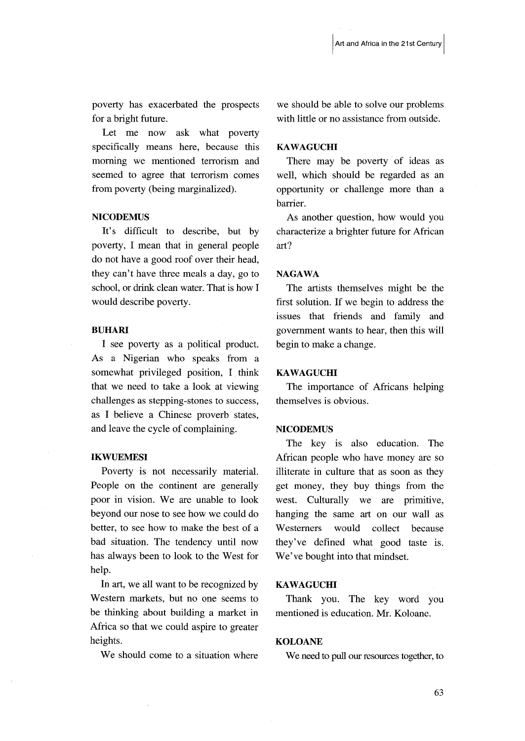poverty has exacerbated the prospects for a bright future.

 Let me now ask what poverty specifically means here, because this moming we mentioned terrorism and seemed to agree that terrorism comes from poverty (being marginalized).

# **NICODEMUS**

 It's difficult to describe, but by poverty, I mean that in general people do not have a good roof over their head, they can't have three meals a day, go to school, or drink clean water. That is how I would describe poverty.

# BUHARI

 I see poverty as a political product. As a Nigerian who speaks from a somewhat privileged position, I think that we need to take a look at viewing chailenges as stepping-stones to success, as I believe a Chinese proverb states, and Ieave the cycle of complaining.

### **IKWUEMESI**

 PoVerty is not necessarily material. People on the continent are generally poor in vision. We are unable to look beyond our nose to see how we could do better, to see how to make the best of a bad situation. The tendency until now has always been to look to the West for help.

In art, we all want to be recognized by Western markets, but no one seems to be thinking about building a market in Africa so that we could aspire to greater heights.

We should come to a situation where

we should be able to solve our problems with little or no assistance from outside.

### **KAWAGUCHI**

 There may be poverty of ideas as well, which should be regarded as an opportunity or challenge more than a barrier.

 As another question, how would you characterize a brighter future for African art?

### NAGAWA

 The artists themselves might be the first solution. If we begin to address the issues that friends and family and govemment wants to hear, then this will begin to make a change.

### **KAWAGUCHI**

 The importance of Africans helping themselves is obvious.

### **NICODEMUS**

 The key is also education. The African people who have money are so illiterate in culture that as soon as they get money, they buy things from the west. Culturally we are primitive, hanging the same art on our wall as Westerners would collect because they've defined what good taste is. We've bought into that mindset.

**KAWAGUCHI**<br>Thank you. The key word you mentioned is education. Mr. Koloane.

# KOLOANE

We need to pull our resources together, to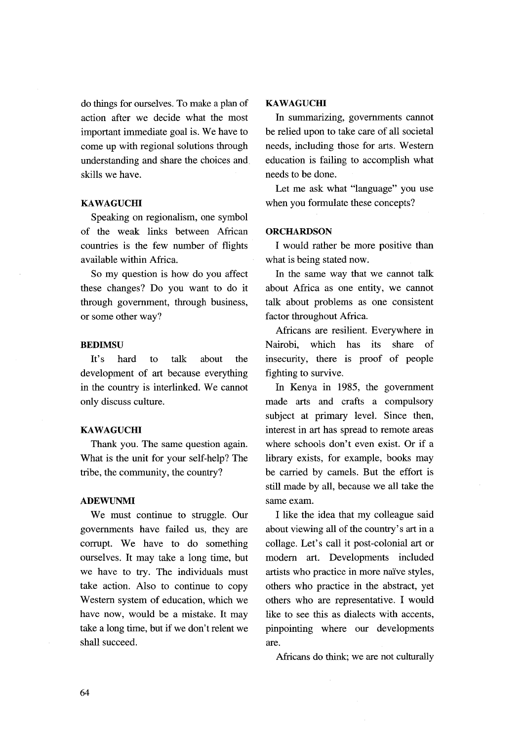do things for ourselves. To make a plan of action after we decide what the most important immediate goal is. We have to come up with regional solutions through understanding and share the choices and. ski11s we have.

# **KAWAGUCHI**

Speaking on regionalism, one symbol of the weak links between African countries is the few number of flights available within Africa.

 So my question is how do you affiect these changes? Do you want to do it through government, through business, or some other way?

# BEDIMSU

 It's hard to talk about the development of art because everything in the country is interlinked. We cannot only discuss culture.

### **KAWAGUCHI**

 Thank you. The same question again. What is the unit for your self-help? The tribe, the community, the country?

### ADEWUNMI

 We must continue to struggle. Our governments have failed us, they are corrupt. We have to do something ourselves. It may take a Iong time, but we have to try. The individuals must take action. AIso to continue to copy Western system of education, which we have now, would be a mistake. It may take a long time, but if we don't relent we shall succeed.

### **KAWAGUCHI**

 In summarizing, governments cannot be relied upon to take care of ai1 societal needs, including those for arts. Western education is failing to accomplish what needs to be done.

 Let me ask what "language" you use when you formulate these concepts?

### **ORCHARDSON**

 I would rather be more positive than what is being stated now.

 In the same way that we cannot talk ahout Africa as one entity, we cannot talk about problems as one consistent factor throughout Africa.

 Africans are resilient. Everywhere in Nairobi, which has its share of insecurity, there is proof of people fighting to survive.

 In Kenya in 1985, the government made arts and crafts a compulsory subject at primary level. Since then, interest in art has spread to remote areas where schools don't even exist. Or if a library exists, for example, books may be carried by camels. But the effort is still made by all, because we al1 take the same exam.

 I like the idea that my colleague said about viewing all of the country's art in a collage. Let's call it post-colonial art or modem art. Developments included artists who practice in more na'ive styles, others who practice in the abstract, yet others who are representative. I would like to see this as dialects with accents, pinpointing where our developments are.

Africans do think; we are not culturally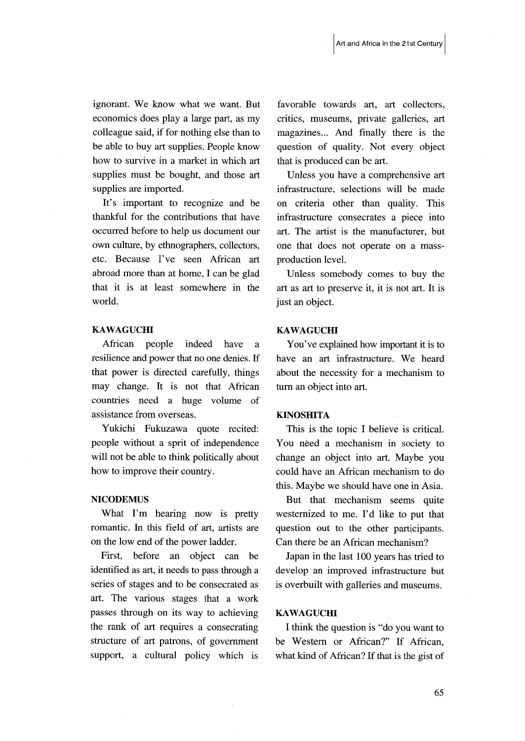ignorant. We know what we want. But economics does play a 1arge part, as my colleague said, if for nothing else than to be able to buy art supplies. People know how to survive in a market in which art supplies must be bought, and those art supplies are imported.

 It's important to recognize and be thankful for the contributions that have occurred before to help us document our own culture, by ethnographers, collectors, etc. Because I've seen African art abroad more than at home, I can be glad that it is at least somewhere in the world.

# KAWAGUCHI

 African people indeed have a resilience and power that no one denies. If that power is directed carefully, things may change. It is not that African countries need a huge volume of assistance from overseas.

 Yukichi Fukuzawa quote recited: people without a sprit of independence will not be able to think politically about how to improve their country.

# **NICODEMUS**

 What I'm hearing now is pretty romantic. In this field of art, artists are on the low end of the power ladder.

First, before an object can be identified as art, it needs to pass through a series of stages and to be consecrated as art. The various stages that a work passes through on its way to achieving the rank of art requires a consecrating stmcture of art patrons, of government support, a cultural policy which is favorable towards art, art collectors, critics, museums, private galleries, art magazines... And finally there is the question of quality. Not every object that is produced can be art.

 Unless you have a comprehensive art infrastmcture, selections will be made on criteria other than quality. This infrastructure consecrates a piece into art. The artist is the manufacturer, but one that does not operate on a massproduction level.

 Unless somebody comes to buy the art as art to preserve it, it is not art. It is just an object.

### KAWAGUCHI

 You've explained how important it is to have an art infrastructure. We heard about the necessity for a mechanism to tum an object into art.

### KINOSHITA

This is the topic I believe is critical. You need a mechanism in society to change an object into art. Maybe you could have an African mechanism to do this. Maybe we should have one in Asia.

 But that mechanism seems quite westemized to me. I'd like to put that question out to the other participants. Can there be an African mechanism?

 Japan in the last 100 years has tried to develop an improved infrastructure but is overbuilt with galleries and museums.

# **KAWAGUCHI**

 I think the question is "do you want to be Westem or African?" If African, what kind of African? If that is the gist of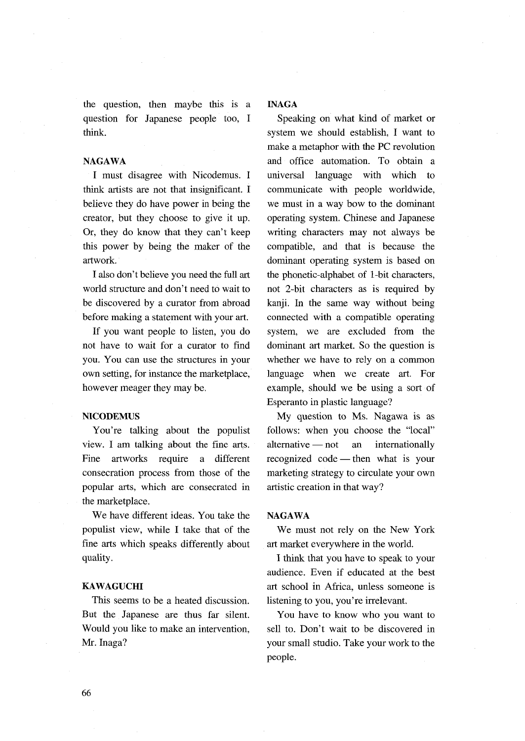the question, then maybe this is a question for Japanese people too, I think.

NAGAWA<br>I must disagree with Nicodemus. I think artists are not that insignificant. I believe they do have power in being the creator, but they choose to give it up. Or, they do know that they can't keep this power by being the maker of the artwork.

I also don't believe you need the full art world structure and don't need to wait to be discovered by a curator from abroad before making a statement with your art.

 If you want people to Iisten, you do not have to wait for a curator to find you. You can use the structures in your own setting, for instance the marketplace, however meager they may be.

### **NICODEMUS**

 You're talking about the populist view. I am talking about the fine arts. Fine artworks require a different consecration process from those of the popular arts, which are consecrated in the marketplace.

 We have different ideas. You take the populist view, while I take that of the fine arts which speaks differently about quality.

### KAWAGUCHI

 This seems to be a heated discussion. But the Japanese are thus far silent. Would you like to make an intervention, Mr. Inaga?

# INAGA

Speaking on what kind of market or system we should establish, I want to make a metaphor with the PC revolution and office automation. To obtain a universal language with which to communicate with people worldwide, we must in a way bow to the dominant operating system. Chinese and Japanese writing characters may not always be compatible, and that is because- the dominant operating system is based on the phonetic-alphabet of 1-bit characters, not 2-bit characters as is required by kanji. In the same way without being connected with a compatible operating system, we are excluded from the dominant art market. So the question is whether we have to rely on a common language when we create art. For example, should we be using a sort of Esperanto in plastic language?

 My question to Ms. Nagawa is as follows: when you choose the "local"  $alternative \rightarrow not$  an internationally recognized code — then what is your marketing strategy to circulate your own artistic creation in that way?

### NAGAWA

We must not rely on the New York art market everywhere in the world.

 I think that you have to speak to your audience. Even if educated at the best art school in Africa, unless someone is listening to you, you're irrelevant.

 You have to know who you want to sell to. Don't wait to be discovered in your small studio. Take your work to the people.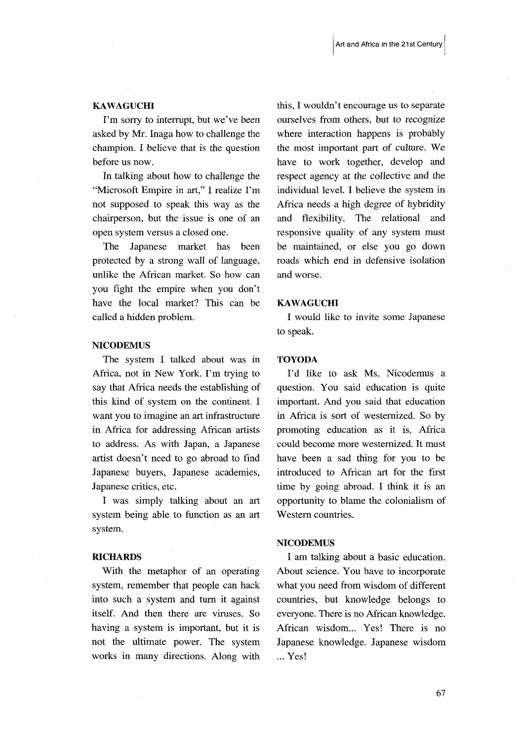### KAWAGUCHI

 I'm sorry to interrupt, but we've been asked by Mr. Inaga how to challenge the champion. I believe that is the question before us now.

 In talking about how to challenge the "Microsoft Empire in art," I realize I'm not supposed to speak this way as the chairperson, but the issue is one of an open system versus a closed one.

 The Japanese matket has been protected by a strong wall of language, unlike the African matket. So how can you fight the empire when you don't have the local matket? This can be called a hidden problem.

### **NICODEMUS**

 The system I talked about was in Africa, not in New York. I'm trying to say that Africa needs the establishing of this kind of system on the continent. I want you to imagine an art infrastructure in Africa for addressing African artists to address. As with Japan, a Japanese artist doesn't need to go abroad to find Japanese buyers, Japanese academies, Japanese critics, etc.

I was simply talking about an art system being able to function as an art system.

RICHARDS<br>With the metaphor of an operating system, remember that people can hack into such a system and turn it against itself. And then there are viruses. So having a system is important, but it is not the ultimate power. The system works in many directions. Along with

this, I wouldn't encourage us to separate ourselves from others, but to recognize where interaction happens is probably the most important part of culture. We have to work together, develop and respect agency at the collective and the individual level. I believe the system in Aftica needs a high degree of hybridity and flexibility. The relational and responsive quality of any system must be maintained, or else you go down roads which end in defensive isolation and worse.

### KAWAGUCHI

 I would like to invite some Japanese to speak.

# TOYODA

 I'd like to ask Ms. Nicodemus a question. You said education is quite important. And you said that education in Africa is sort of westernized. So by promoting education as it is, Aftica could become more westernized. It must have been a sad thing for you to be introduced to African art for the first time by going abroad. I think it is an opportunity to blame the colonialism of Western countries.

### **NICODEMUS**

I am talking about a basic education. About science. You have to incorporate what you need from wisdom of different countries, but knowledge belongs to everyone. There is no African knowledge. Afirican wisdom... Yes! There is no Japanese knowledge. Japanese wisdom ... Yes!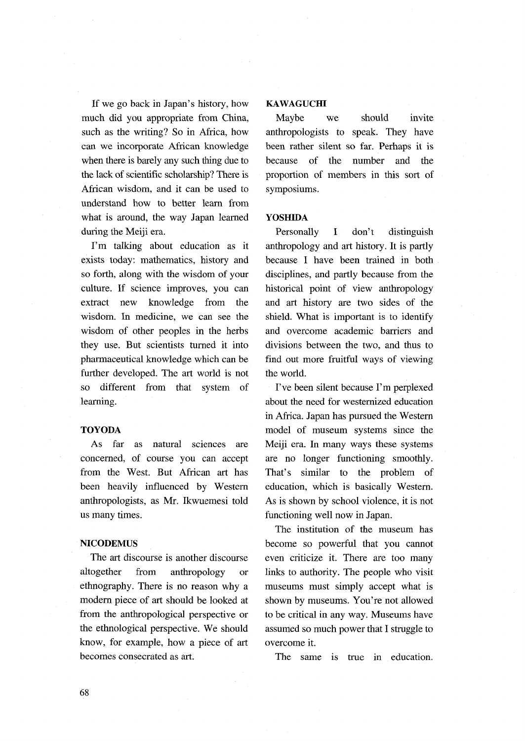If we go back in Japan's history, how much did you appropriate from China, such as the writing? So in Africa, how can we incorporate African knowledge when there is barely any such thing due to the lack of sciemific scholarship? There is African wisdom, and it can be used to understand how to better leam from what is around, the way Japan Iearned during the Meiji era.

 I'm talking about education as it exists today: mathematics, history and so fonh, along with the wisdom of your culture. If science improves, you can extract new knowledge from the wisdom. In medicine, we can see the wisdom of other peoples in the herbs they use. But scientists turned it into pharmaceutical knowledge which can be further developed. The art world is not so different from that system of learning.

### TOYODA

As far as natural sciences are concerned, of course you can accept from the West. But African art has been heavily influenced by Westem anthropologists, as Mr. lkwuemesi told us many times.

### **NICODEMUS**

 The art discourse is another discourse altogether from anthropology or ethnography. There is no reason why a modem piece of art should be looked at from the anthropological perspective or the ethnological perspective. We should know, for example, how a piece of art becomes consecrated as art.

# **KAWAGUCHI**

 Maybe we should invite anthropologists to speak. They have been rather silent so far. Perhaps it is because of the number and the proponion of members in this sort of symposiums.

### YOSHIDA

 Personally I don't distinguish anthropology and art history. It is partly because I have been trained in both disciplines, and partly because from the historical point of view anthropology and art history are two sides of the shield. What is important is to identify and overcome academic barriers and divisions between the two, and thus to find out more fruitfuI ways of viewing the world.

 I've been silent because I'm perplexed about the need for westernized education in Africa. Japan has pursued the Western model of museum systems since the Meiji era. In many ways these systems are no longer functioning smoothly. That's similar to the problem of education, which is basically Western. As is shown by school violence, it is not functioning well now in Japan.

 The institution of the museum has become so powerfu1 that you cannot even criticize it. There are too many links to authority. The people who visit museums must simply accept what is shown by museums. You're not allowed to be critical in any way. Museums have assumed so much power that I struggle to overcome it.

The same is true in education.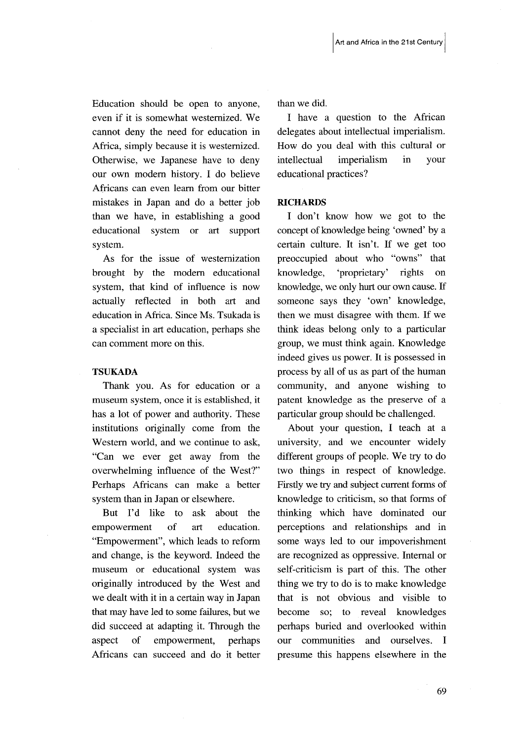Education should be open to anyone, even if it is somewhat westemized. We cannot deny the need for education in Africa, simply because it is westernized. Otherwise, we Japanese have to deny our own modem history. I do believe Africans can even leam from our bitter mistakes in Japan and do a better job than we have, in establishing a good educational system or art support system.

 As for the issue of westernization brought by the modern educational system, that kind of influence is now actually reflected in both art and education in Africa. Since Ms. Tsukada is a speciaiist in art education, perhaps she can comment more on this.

# TSUKADA

Thank you. As for education or a museum system, once it is established, it has a lot of power and authority. These institutions originally come from the Western world, and we continue to ask, "Can we ever get away from the overwhelming influence of the West?" Perhaps Afticans can make a better system than in Japan or elsewhere.

 But I'd like to ask about the empowerrnent of art education. "Empowerment", which leads to reform and change, is the keyword. Indeed the museum or educational system was originally introduced by the West and we dealt with it in a certain way in Japan that may have led to some failures, but we did succeed at adapting it. Through the aspect of empowerment, perhaps Africans can succeed and do it better than we did.

I have a question to the African delegates about intellectual imperialism. How do you deal with this cultural or intellectual imperialism in your educational practices?

### **RICHARDS**

 I don't know how we got to the concept of knowledge being `owned' by a certain culture. It isn't. If we get too preoccupied about who "owns" that knowledge, `proprietary' rights on knowledge, we oniy hurt our own cause. ff someone says they 'own' knowledge, then we must disagree with them. If we think ideas belong only to a particular group, we must think again. Knowledge indeed gives us power. It is possessed in process by all of us as part of the human community, and anyone wishing to patent knowledge as the preserve of a particular group should be challenged.

 About your question, I teach at a university, and we encounter widely different groups of people. We try to do two things in respect of knowledge. Firstly we try and subject current forms of knowledge to criticism, so that forms of thinking which have dominated our perceptions and relationships and in some ways led to our impoverishment are recognized as oppressive. Internal or self-criticism is part of this. The other thing we try to do is to make knowledge that is not obvious and visible to become so; to reveal knowledges perhaps buried and overlooked within our communities and ourselves. I presume this happens elsewhere in the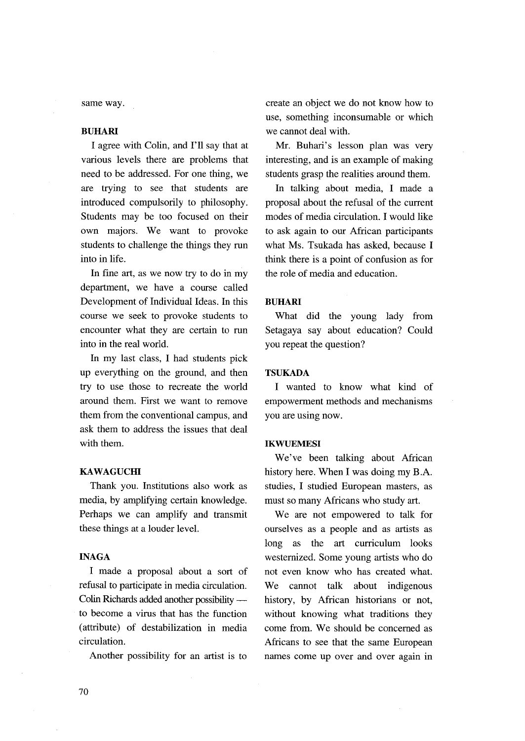same way.

# BUHARI

 I agree with Colin, and I'11 say that at various levels there are problems that need to be addressed. For one thing, we are trying to see that students are introduced compulsoriIy to philosophy. Students may be too focused on their own majors. We want to provoke students to chailenge the things they run into in life.

 In fine art, as we now try to do in my department, we have a course called Development of Individual Ideas. In this course we seek to provoke students to encounter what they are certain to run into in the real world.

 In my last class, I had students pick up everything on the ground, and then try to use those to recreate the world around them. First we want to remove them from the conventional campus, and ask them to address the issues that deai with them.

### **KAWAGUCHI**

 Thank you. Institutions also wotk as media, by amplifying certain knowledge. Perhaps we can amplify and transmit these things at a louder level.

# INAGA

 I made a proposal about a sort of refusal to participate in media circulation. Colin Richards added another possibility to become a vims that has the function (attribute) of destabilization in media circulation.

Another possibility for an artist is to

create an object we do not know how to use, something inconsumable or which we cannot deal with.

 Mr. Buhari's lesson plan was very interesting, and is an example of making students grasp the realities around them.

 In talking about media, I made a proposal about the refusal of the current modes of media circulation. I would like to ask again to our African participants what Ms. Tsukada has asked, because I think there is a point of confusion as for the role of media and education.

### BUHARI

 What did the young lady from Setagaya say about education? Could you repeat the question?

# TSUKADA

 I wanted to know what kind of empowerment methods and mechanisms you are using now.

## **IKWUEMESI**

 We've been talking about African history here. When I was doing my B.A. studies, I studied European masters, as must so many Africans who study art.

We are not empowered to talk for ourselves as a people and as artists as long as the art curriculum looks westemized. Some young artists who do not even know who has created what. We cannot talk about indigenous history, by African historians or not, without knowing what traditions they come from. We should be concerned as Africans to see that the same European names come up over and over again in